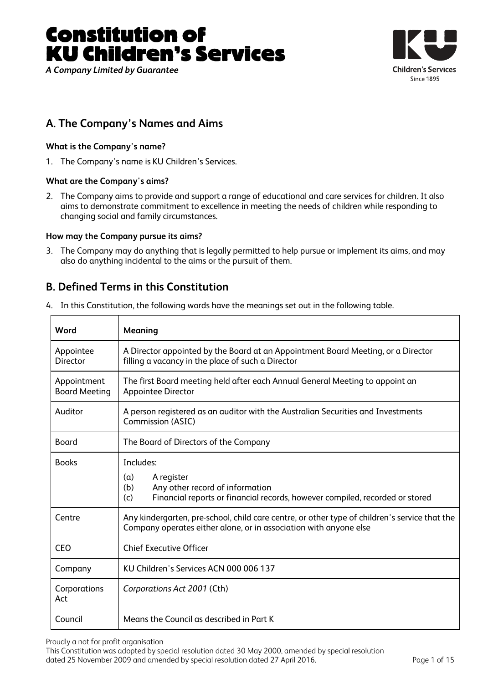# Constitution of KU Children's Services

*A Company Limited by Guarantee* 



# **A. The Company's Names and Aims**

# **What is the Company's name?**

1. The Company's name is KU Children's Services.

# **What are the Company's aims?**

 $\overline{\Gamma}$ 

2. The Company aims to provide and support a range of educational and care services for children. It also aims to demonstrate commitment to excellence in meeting the needs of children while responding to changing social and family circumstances.

# **How may the Company pursue its aims?**

┯

3. The Company may do anything that is legally permitted to help pursue or implement its aims, and may also do anything incidental to the aims or the pursuit of them.

# **B. Defined Terms in this Constitution**

| Word                                | Meaning                                                                                                                                                            |
|-------------------------------------|--------------------------------------------------------------------------------------------------------------------------------------------------------------------|
| Appointee<br><b>Director</b>        | A Director appointed by the Board at an Appointment Board Meeting, or a Director<br>filling a vacancy in the place of such a Director                              |
| Appointment<br><b>Board Meeting</b> | The first Board meeting held after each Annual General Meeting to appoint an<br><b>Appointee Director</b>                                                          |
| Auditor                             | A person registered as an auditor with the Australian Securities and Investments<br>Commission (ASIC)                                                              |
| Board                               | The Board of Directors of the Company                                                                                                                              |
| <b>Books</b>                        | Includes:<br>A register<br>(a)<br>Any other record of information<br>(b)<br>Financial reports or financial records, however compiled, recorded or stored<br>(c)    |
| Centre                              | Any kindergarten, pre-school, child care centre, or other type of children's service that the<br>Company operates either alone, or in association with anyone else |
| <b>CEO</b>                          | <b>Chief Executive Officer</b>                                                                                                                                     |
| Company                             | KU Children's Services ACN 000 006 137                                                                                                                             |
| Corporations<br>Act                 | Corporations Act 2001 (Cth)                                                                                                                                        |
| Council                             | Means the Council as described in Part K                                                                                                                           |

4. In this Constitution, the following words have the meanings set out in the following table.

Proudly a not for profit organisation

This Constitution was adopted by special resolution dated 30 May 2000, amended by special resolution dated 25 November 2009 and amended by special resolution dated 27 April 2016. Page 1 of 15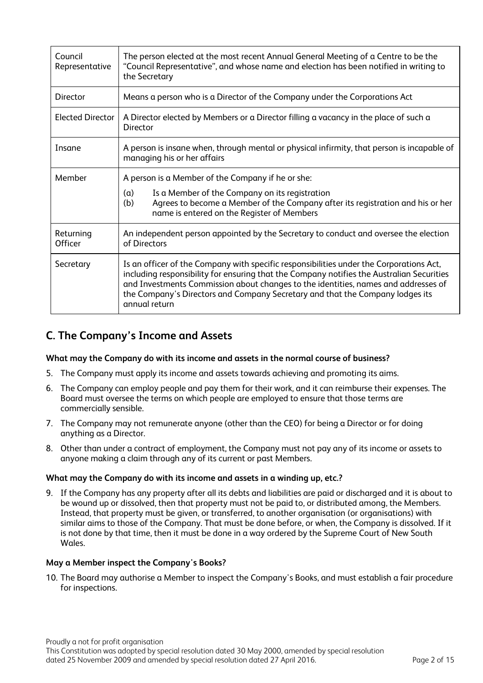| Council<br>Representative | The person elected at the most recent Annual General Meeting of a Centre to be the<br>"Council Representative", and whose name and election has been notified in writing to<br>the Secretary                                                                                                                                                                                 |
|---------------------------|------------------------------------------------------------------------------------------------------------------------------------------------------------------------------------------------------------------------------------------------------------------------------------------------------------------------------------------------------------------------------|
| Director                  | Means a person who is a Director of the Company under the Corporations Act                                                                                                                                                                                                                                                                                                   |
| <b>Elected Director</b>   | A Director elected by Members or a Director filling a vacancy in the place of such a<br><b>Director</b>                                                                                                                                                                                                                                                                      |
| Insane                    | A person is insane when, through mental or physical infirmity, that person is incapable of<br>managing his or her affairs                                                                                                                                                                                                                                                    |
| Member                    | A person is a Member of the Company if he or she:<br>Is a Member of the Company on its registration<br>(a)<br>Agrees to become a Member of the Company after its registration and his or her<br>(b)<br>name is entered on the Register of Members                                                                                                                            |
| Returning<br>Officer      | An independent person appointed by the Secretary to conduct and oversee the election<br>of Directors                                                                                                                                                                                                                                                                         |
| Secretary                 | Is an officer of the Company with specific responsibilities under the Corporations Act,<br>including responsibility for ensuring that the Company notifies the Australian Securities<br>and Investments Commission about changes to the identities, names and addresses of<br>the Company's Directors and Company Secretary and that the Company lodges its<br>annual return |

# **C. The Company's Income and Assets**

# **What may the Company do with its income and assets in the normal course of business?**

- 5. The Company must apply its income and assets towards achieving and promoting its aims.
- 6. The Company can employ people and pay them for their work, and it can reimburse their expenses. The Board must oversee the terms on which people are employed to ensure that those terms are commercially sensible.
- 7. The Company may not remunerate anyone (other than the CEO) for being a Director or for doing anything as a Director.
- 8. Other than under a contract of employment, the Company must not pay any of its income or assets to anyone making a claim through any of its current or past Members.

#### **What may the Company do with its income and assets in a winding up, etc.?**

9. If the Company has any property after all its debts and liabilities are paid or discharged and it is about to be wound up or dissolved, then that property must not be paid to, or distributed among, the Members. Instead, that property must be given, or transferred, to another organisation (or organisations) with similar aims to those of the Company. That must be done before, or when, the Company is dissolved. If it is not done by that time, then it must be done in a way ordered by the Supreme Court of New South Wales.

#### **May a Member inspect the Company's Books?**

10. The Board may authorise a Member to inspect the Company's Books, and must establish a fair procedure for inspections.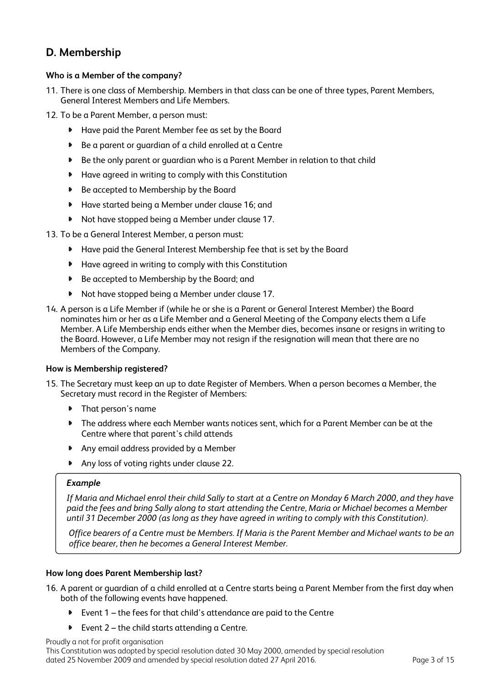# **D. Membership**

# **Who is a Member of the company?**

- 11. There is one class of Membership. Members in that class can be one of three types, Parent Members, General Interest Members and Life Members.
- 12. To be a Parent Member, a person must:
	- Have paid the Parent Member fee as set by the Board
	- $\blacktriangleright$ Be a parent or guardian of a child enrolled at a Centre
	- Be the only parent or guardian who is a Parent Member in relation to that child
	- Have agreed in writing to comply with this Constitution
	- $\blacktriangleright$ Be accepted to Membership by the Board
	- $\bullet$ Have started being a Member under clause 16; and
	- Not have stopped being a Member under clause 17.
- 13. To be a General Interest Member, a person must:
	- Have paid the General Interest Membership fee that is set by the Board
	- Have agreed in writing to comply with this Constitution
	- $\bullet$ Be accepted to Membership by the Board; and
	- Not have stopped being a Member under clause 17.
- 14. A person is a Life Member if (while he or she is a Parent or General Interest Member) the Board nominates him or her as a Life Member and a General Meeting of the Company elects them a Life Member. A Life Membership ends either when the Member dies, becomes insane or resigns in writing to the Board. However, a Life Member may not resign if the resignation will mean that there are no Members of the Company.

# **How is Membership registered?**

- 15. The Secretary must keep an up to date Register of Members. When a person becomes a Member, the Secretary must record in the Register of Members:
	- $\mathbf{B}$ That person's name
	- The address where each Member wants notices sent, which for a Parent Member can be at the Centre where that parent's child attends
	- Any email address provided by a Member
	- $\blacktriangleright$ Any loss of voting rights under clause 22.

### *Example*

*If Maria and Michael enrol their child Sally to start at a Centre on Monday 6 March 2000, and they have paid the fees and bring Sally along to start attending the Centre, Maria or Michael becomes a Member until 31 December 2000 (as long as they have agreed in writing to comply with this Constitution).* 

*Office bearers of a Centre must be Members. If Maria is the Parent Member and Michael wants to be an office bearer, then he becomes a General Interest Member.* 

# **How long does Parent Membership last?**

16. A parent or guardian of a child enrolled at a Centre starts being a Parent Member from the first day when both of the following events have happened.

- Event 1 the fees for that child's attendance are paid to the Centre
- Event 2 the child starts attending a Centre.  $\blacktriangleright$

#### Proudly a not for profit organisation

This Constitution was adopted by special resolution dated 30 May 2000, amended by special resolution dated 25 November 2009 and amended by special resolution dated 27 April 2016. Page 3 of 15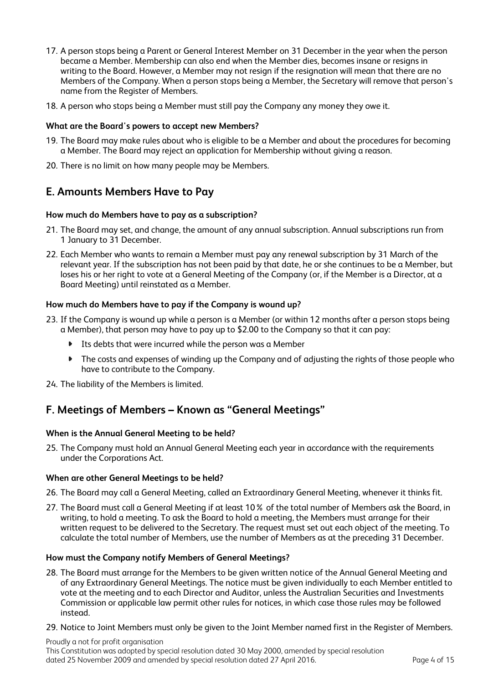- 17. A person stops being a Parent or General Interest Member on 31 December in the year when the person became a Member. Membership can also end when the Member dies, becomes insane or resigns in writing to the Board. However, a Member may not resign if the resignation will mean that there are no Members of the Company. When a person stops being a Member, the Secretary will remove that person's name from the Register of Members.
- 18. A person who stops being a Member must still pay the Company any money they owe it.

#### **What are the Board's powers to accept new Members?**

- 19. The Board may make rules about who is eligible to be a Member and about the procedures for becoming a Member. The Board may reject an application for Membership without giving a reason.
- 20. There is no limit on how many people may be Members.

# **E. Amounts Members Have to Pay**

#### **How much do Members have to pay as a subscription?**

- 21. The Board may set, and change, the amount of any annual subscription. Annual subscriptions run from 1 January to 31 December.
- 22. Each Member who wants to remain a Member must pay any renewal subscription by 31 March of the relevant year. If the subscription has not been paid by that date, he or she continues to be a Member, but loses his or her right to vote at a General Meeting of the Company (or, if the Member is a Director, at a Board Meeting) until reinstated as a Member.

#### **How much do Members have to pay if the Company is wound up?**

- 23. If the Company is wound up while a person is a Member (or within 12 months after a person stops being a Member), that person may have to pay up to \$2.00 to the Company so that it can pay:
	- Its debts that were incurred while the person was a Member
	- $\bullet$ The costs and expenses of winding up the Company and of adjusting the rights of those people who have to contribute to the Company.

24. The liability of the Members is limited.

# **F. Meetings of Members – Known as "General Meetings"**

#### **When is the Annual General Meeting to be held?**

25. The Company must hold an Annual General Meeting each year in accordance with the requirements under the Corporations Act.

#### **When are other General Meetings to be held?**

- 26. The Board may call a General Meeting, called an Extraordinary General Meeting, whenever it thinks fit.
- 27. The Board must call a General Meeting if at least 10% of the total number of Members ask the Board, in writing, to hold a meeting. To ask the Board to hold a meeting, the Members must arrange for their written request to be delivered to the Secretary. The request must set out each object of the meeting. To calculate the total number of Members, use the number of Members as at the preceding 31 December.

#### **How must the Company notify Members of General Meetings?**

- 28. The Board must arrange for the Members to be given written notice of the Annual General Meeting and of any Extraordinary General Meetings. The notice must be given individually to each Member entitled to vote at the meeting and to each Director and Auditor, unless the Australian Securities and Investments Commission or applicable law permit other rules for notices, in which case those rules may be followed instead.
- 29. Notice to Joint Members must only be given to the Joint Member named first in the Register of Members.

Proudly a not for profit organisation This Constitution was adopted by special resolution dated 30 May 2000, amended by special resolution dated 25 November 2009 and amended by special resolution dated 27 April 2016. Page 4 of 15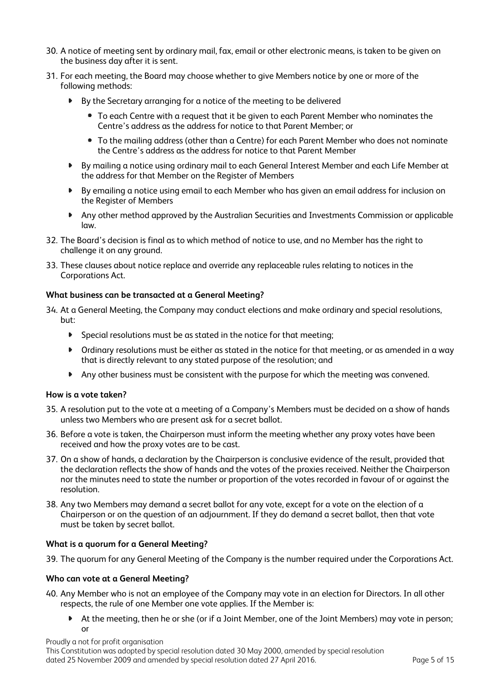- 30. A notice of meeting sent by ordinary mail, fax, email or other electronic means, is taken to be given on the business day after it is sent.
- 31. For each meeting, the Board may choose whether to give Members notice by one or more of the following methods:
	- By the Secretary arranging for a notice of the meeting to be delivered
		- To each Centre with a request that it be given to each Parent Member who nominates the Centre's address as the address for notice to that Parent Member; or
		- To the mailing address (other than a Centre) for each Parent Member who does not nominate the Centre's address as the address for notice to that Parent Member
	- By mailing a notice using ordinary mail to each General Interest Member and each Life Member at the address for that Member on the Register of Members
	- By emailing a notice using email to each Member who has given an email address for inclusion on the Register of Members
	- $\bullet$ Any other method approved by the Australian Securities and Investments Commission or applicable law.
- 32. The Board's decision is final as to which method of notice to use, and no Member has the right to challenge it on any ground.
- 33. These clauses about notice replace and override any replaceable rules relating to notices in the Corporations Act.

# **What business can be transacted at a General Meeting?**

- 34. At a General Meeting, the Company may conduct elections and make ordinary and special resolutions, but:
	- $\blacktriangleright$ Special resolutions must be as stated in the notice for that meeting;
	- Ordinary resolutions must be either as stated in the notice for that meeting, or as amended in a way that is directly relevant to any stated purpose of the resolution; and
	- Any other business must be consistent with the purpose for which the meeting was convened.

#### **How is a vote taken?**

- 35. A resolution put to the vote at a meeting of a Company's Members must be decided on a show of hands unless two Members who are present ask for a secret ballot.
- 36. Before a vote is taken, the Chairperson must inform the meeting whether any proxy votes have been received and how the proxy votes are to be cast.
- 37. On a show of hands, a declaration by the Chairperson is conclusive evidence of the result, provided that the declaration reflects the show of hands and the votes of the proxies received. Neither the Chairperson nor the minutes need to state the number or proportion of the votes recorded in favour of or against the resolution.
- 38. Any two Members may demand a secret ballot for any vote, except for a vote on the election of a Chairperson or on the question of an adjournment. If they do demand a secret ballot, then that vote must be taken by secret ballot.

# **What is a quorum for a General Meeting?**

39. The quorum for any General Meeting of the Company is the number required under the Corporations Act.

#### **Who can vote at a General Meeting?**

- 40. Any Member who is not an employee of the Company may vote in an election for Directors. In all other respects, the rule of one Member one vote applies. If the Member is:
	- At the meeting, then he or she (or if a Joint Member, one of the Joint Members) may vote in person; or

Proudly a not for profit organisation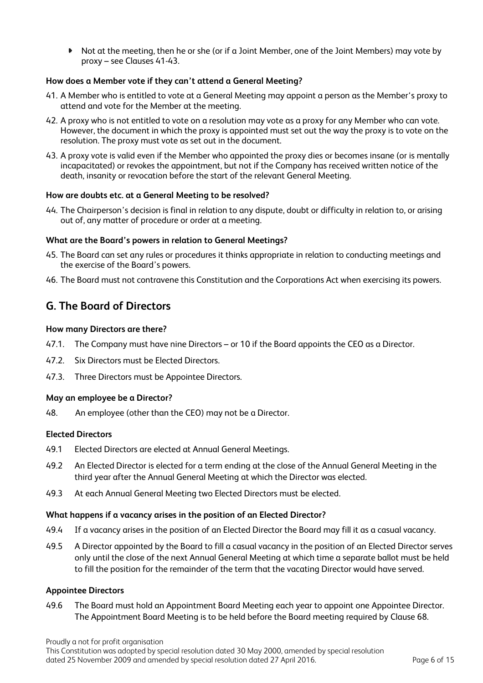Not at the meeting, then he or she (or if a Joint Member, one of the Joint Members) may vote by proxy – see Clauses 41-43.

# **How does a Member vote if they can't attend a General Meeting?**

- 41. A Member who is entitled to vote at a General Meeting may appoint a person as the Member's proxy to attend and vote for the Member at the meeting.
- 42. A proxy who is not entitled to vote on a resolution may vote as a proxy for any Member who can vote. However, the document in which the proxy is appointed must set out the way the proxy is to vote on the resolution. The proxy must vote as set out in the document.
- 43. A proxy vote is valid even if the Member who appointed the proxy dies or becomes insane (or is mentally incapacitated) or revokes the appointment, but not if the Company has received written notice of the death, insanity or revocation before the start of the relevant General Meeting.

# **How are doubts etc. at a General Meeting to be resolved?**

44. The Chairperson's decision is final in relation to any dispute, doubt or difficulty in relation to, or arising out of, any matter of procedure or order at a meeting.

#### **What are the Board's powers in relation to General Meetings?**

- 45. The Board can set any rules or procedures it thinks appropriate in relation to conducting meetings and the exercise of the Board's powers.
- 46. The Board must not contravene this Constitution and the Corporations Act when exercising its powers.

# **G. The Board of Directors**

#### **How many Directors are there?**

- 47.1. The Company must have nine Directors or 10 if the Board appoints the CEO as a Director.
- 47.2. Six Directors must be Elected Directors.
- 47.3. Three Directors must be Appointee Directors.

#### **May an employee be a Director?**

48. An employee (other than the CEO) may not be a Director.

# **Elected Directors**

- 49.1 Elected Directors are elected at Annual General Meetings.
- 49.2 An Elected Director is elected for a term ending at the close of the Annual General Meeting in the third year after the Annual General Meeting at which the Director was elected.
- 49.3 At each Annual General Meeting two Elected Directors must be elected.

#### **What happens if a vacancy arises in the position of an Elected Director?**

- 49.4 If a vacancy arises in the position of an Elected Director the Board may fill it as a casual vacancy.
- 49.5 A Director appointed by the Board to fill a casual vacancy in the position of an Elected Director serves only until the close of the next Annual General Meeting at which time a separate ballot must be held to fill the position for the remainder of the term that the vacating Director would have served.

#### **Appointee Directors**

49.6 The Board must hold an Appointment Board Meeting each year to appoint one Appointee Director. The Appointment Board Meeting is to be held before the Board meeting required by Clause 68.

Proudly a not for profit organisation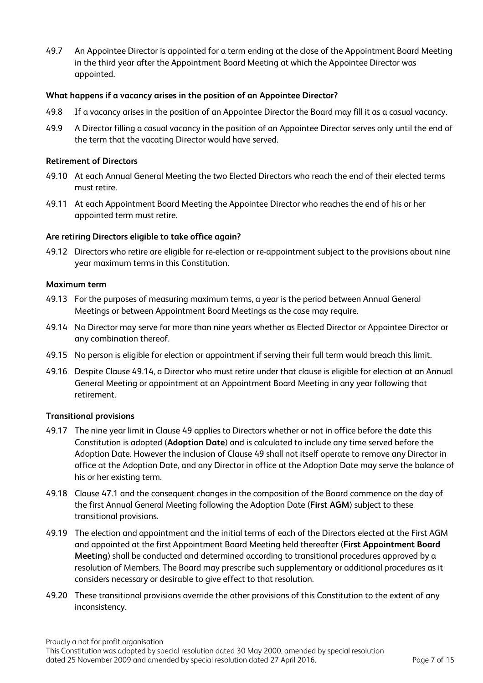49.7 An Appointee Director is appointed for a term ending at the close of the Appointment Board Meeting in the third year after the Appointment Board Meeting at which the Appointee Director was appointed.

### **What happens if a vacancy arises in the position of an Appointee Director?**

- 49.8 If a vacancy arises in the position of an Appointee Director the Board may fill it as a casual vacancy.
- 49.9 A Director filling a casual vacancy in the position of an Appointee Director serves only until the end of the term that the vacating Director would have served.

#### **Retirement of Directors**

- 49.10 At each Annual General Meeting the two Elected Directors who reach the end of their elected terms must retire.
- 49.11 At each Appointment Board Meeting the Appointee Director who reaches the end of his or her appointed term must retire.

#### **Are retiring Directors eligible to take office again?**

49.12 Directors who retire are eligible for re-election or re-appointment subject to the provisions about nine year maximum terms in this Constitution.

#### **Maximum term**

- 49.13 For the purposes of measuring maximum terms, a year is the period between Annual General Meetings or between Appointment Board Meetings as the case may require.
- 49.14 No Director may serve for more than nine years whether as Elected Director or Appointee Director or any combination thereof.
- 49.15 No person is eligible for election or appointment if serving their full term would breach this limit.
- 49.16 Despite Clause 49.14, a Director who must retire under that clause is eligible for election at an Annual General Meeting or appointment at an Appointment Board Meeting in any year following that retirement.

#### **Transitional provisions**

- 49.17 The nine year limit in Clause 49 applies to Directors whether or not in office before the date this Constitution is adopted (**Adoption Date**) and is calculated to include any time served before the Adoption Date. However the inclusion of Clause 49 shall not itself operate to remove any Director in office at the Adoption Date, and any Director in office at the Adoption Date may serve the balance of his or her existing term.
- 49.18 Clause 47.1 and the consequent changes in the composition of the Board commence on the day of the first Annual General Meeting following the Adoption Date (**First AGM**) subject to these transitional provisions.
- 49.19 The election and appointment and the initial terms of each of the Directors elected at the First AGM and appointed at the first Appointment Board Meeting held thereafter (**First Appointment Board Meeting**) shall be conducted and determined according to transitional procedures approved by a resolution of Members. The Board may prescribe such supplementary or additional procedures as it considers necessary or desirable to give effect to that resolution.
- 49.20 These transitional provisions override the other provisions of this Constitution to the extent of any inconsistency.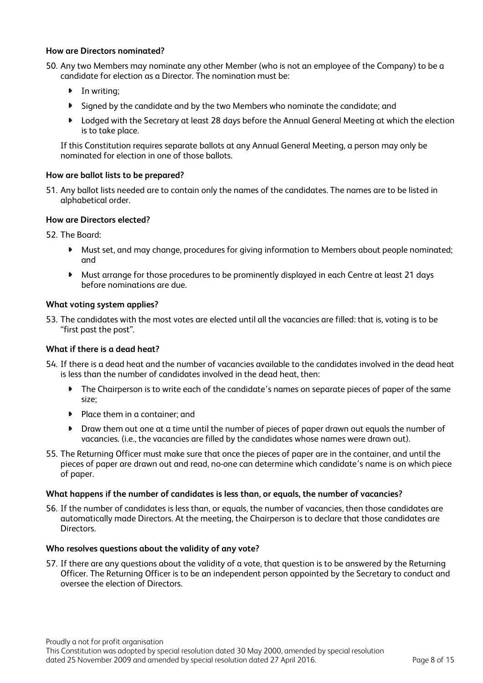### **How are Directors nominated?**

- 50. Any two Members may nominate any other Member (who is not an employee of the Company) to be a candidate for election as a Director. The nomination must be:
	- In writing;
	- Signed by the candidate and by the two Members who nominate the candidate; and
	- ▶ Lodged with the Secretary at least 28 days before the Annual General Meeting at which the election is to take place.

If this Constitution requires separate ballots at any Annual General Meeting, a person may only be nominated for election in one of those ballots.

### **How are ballot lists to be prepared?**

51. Any ballot lists needed are to contain only the names of the candidates. The names are to be listed in alphabetical order.

#### **How are Directors elected?**

52. The Board:

- $\blacksquare$ Must set, and may change, procedures for giving information to Members about people nominated; and
- $\blacksquare$ Must arrange for those procedures to be prominently displayed in each Centre at least 21 days before nominations are due.

#### **What voting system applies?**

53. The candidates with the most votes are elected until all the vacancies are filled: that is, voting is to be "first past the post".

#### **What if there is a dead heat?**

- 54. If there is a dead heat and the number of vacancies available to the candidates involved in the dead heat is less than the number of candidates involved in the dead heat, then:
	- $\blacksquare$ The Chairperson is to write each of the candidate's names on separate pieces of paper of the same size;
	- $\bullet$ Place them in a container; and
	- Draw them out one at a time until the number of pieces of paper drawn out equals the number of vacancies. (i.e., the vacancies are filled by the candidates whose names were drawn out).
- 55. The Returning Officer must make sure that once the pieces of paper are in the container, and until the pieces of paper are drawn out and read, no-one can determine which candidate's name is on which piece of paper.

#### **What happens if the number of candidates is less than, or equals, the number of vacancies?**

56. If the number of candidates is less than, or equals, the number of vacancies, then those candidates are automatically made Directors. At the meeting, the Chairperson is to declare that those candidates are Directors.

#### **Who resolves questions about the validity of any vote?**

57. If there are any questions about the validity of a vote, that question is to be answered by the Returning Officer. The Returning Officer is to be an independent person appointed by the Secretary to conduct and oversee the election of Directors.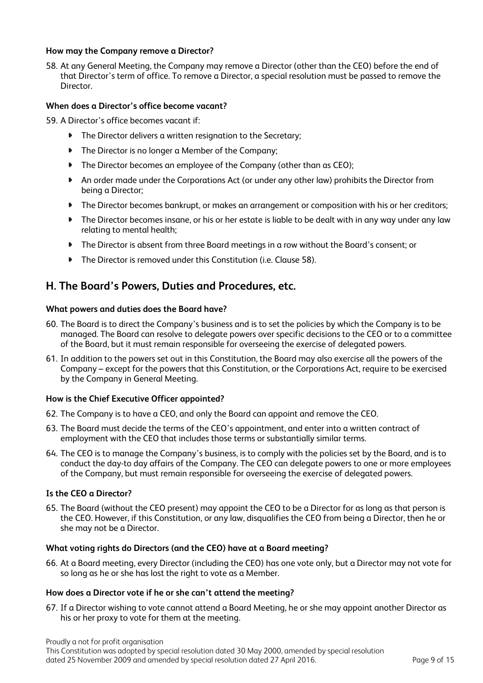### **How may the Company remove a Director?**

58. At any General Meeting, the Company may remove a Director (other than the CEO) before the end of that Director's term of office. To remove a Director, a special resolution must be passed to remove the **Director** 

### **When does a Director's office become vacant?**

- 59. A Director's office becomes vacant if:
	- $\bullet$ The Director delivers a written resignation to the Secretary;
	- $\blacktriangleright$ The Director is no longer a Member of the Company;
	- $\bullet$ The Director becomes an employee of the Company (other than as CEO);
	- An order made under the Corporations Act (or under any other law) prohibits the Director from  $\blacktriangleright$ being a Director;
	- The Director becomes bankrupt, or makes an arrangement or composition with his or her creditors;  $\blacksquare$
	- $\bullet$ The Director becomes insane, or his or her estate is liable to be dealt with in any way under any law relating to mental health;
	- $\bullet$ The Director is absent from three Board meetings in a row without the Board's consent; or
	- The Director is removed under this Constitution (i.e. Clause 58).

# **H. The Board's Powers, Duties and Procedures, etc.**

#### **What powers and duties does the Board have?**

- 60. The Board is to direct the Company's business and is to set the policies by which the Company is to be managed. The Board can resolve to delegate powers over specific decisions to the CEO or to a committee of the Board, but it must remain responsible for overseeing the exercise of delegated powers.
- 61. In addition to the powers set out in this Constitution, the Board may also exercise all the powers of the Company – except for the powers that this Constitution, or the Corporations Act, require to be exercised by the Company in General Meeting.

#### **How is the Chief Executive Officer appointed?**

- 62. The Company is to have a CEO, and only the Board can appoint and remove the CEO.
- 63. The Board must decide the terms of the CEO's appointment, and enter into a written contract of employment with the CEO that includes those terms or substantially similar terms.
- 64. The CEO is to manage the Company's business, is to comply with the policies set by the Board, and is to conduct the day-to day affairs of the Company. The CEO can delegate powers to one or more employees of the Company, but must remain responsible for overseeing the exercise of delegated powers.

#### **Is the CEO a Director?**

65. The Board (without the CEO present) may appoint the CEO to be a Director for as long as that person is the CEO. However, if this Constitution, or any law, disqualifies the CEO from being a Director, then he or she may not be a Director.

#### **What voting rights do Directors (and the CEO) have at a Board meeting?**

66. At a Board meeting, every Director (including the CEO) has one vote only, but a Director may not vote for so long as he or she has lost the right to vote as a Member.

#### **How does a Director vote if he or she can't attend the meeting?**

67. If a Director wishing to vote cannot attend a Board Meeting, he or she may appoint another Director as his or her proxy to vote for them at the meeting.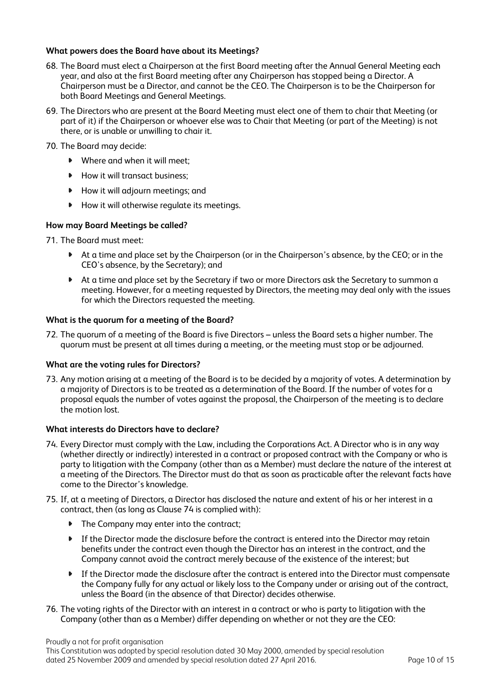# **What powers does the Board have about its Meetings?**

- 68. The Board must elect a Chairperson at the first Board meeting after the Annual General Meeting each year, and also at the first Board meeting after any Chairperson has stopped being a Director. A Chairperson must be a Director, and cannot be the CEO. The Chairperson is to be the Chairperson for both Board Meetings and General Meetings.
- 69. The Directors who are present at the Board Meeting must elect one of them to chair that Meeting (or part of it) if the Chairperson or whoever else was to Chair that Meeting (or part of the Meeting) is not there, or is unable or unwilling to chair it.
- 70. The Board may decide:
	- Where and when it will meet:
	- How it will transact business:
	- **How it will adjourn meetings; and**
	- **How it will otherwise regulate its meetings.**

#### **How may Board Meetings be called?**

- 71. The Board must meet:
	- At a time and place set by the Chairperson (or in the Chairperson's absence, by the CEO; or in the CEO's absence, by the Secretary); and
	- At a time and place set by the Secretary if two or more Directors ask the Secretary to summon a meeting. However, for a meeting requested by Directors, the meeting may deal only with the issues for which the Directors requested the meeting.

#### **What is the quorum for a meeting of the Board?**

72. The quorum of a meeting of the Board is five Directors – unless the Board sets a higher number. The quorum must be present at all times during a meeting, or the meeting must stop or be adjourned.

#### **What are the voting rules for Directors?**

73. Any motion arising at a meeting of the Board is to be decided by a majority of votes. A determination by a majority of Directors is to be treated as a determination of the Board. If the number of votes for a proposal equals the number of votes against the proposal, the Chairperson of the meeting is to declare the motion lost.

#### **What interests do Directors have to declare?**

- 74. Every Director must comply with the Law, including the Corporations Act. A Director who is in any way (whether directly or indirectly) interested in a contract or proposed contract with the Company or who is party to litigation with the Company (other than as a Member) must declare the nature of the interest at a meeting of the Directors. The Director must do that as soon as practicable after the relevant facts have come to the Director's knowledge.
- 75. If, at a meeting of Directors, a Director has disclosed the nature and extent of his or her interest in a contract, then (as long as Clause 74 is complied with):
	- The Company may enter into the contract:
	- If the Director made the disclosure before the contract is entered into the Director may retain benefits under the contract even though the Director has an interest in the contract, and the Company cannot avoid the contract merely because of the existence of the interest; but
	- $\blacktriangleright$ If the Director made the disclosure after the contract is entered into the Director must compensate the Company fully for any actual or likely loss to the Company under or arising out of the contract, unless the Board (in the absence of that Director) decides otherwise.
- 76. The voting rights of the Director with an interest in a contract or who is party to litigation with the Company (other than as a Member) differ depending on whether or not they are the CEO:

Proudly a not for profit organisation

This Constitution was adopted by special resolution dated 30 May 2000, amended by special resolution dated 25 November 2009 and amended by special resolution dated 27 April 2016. Page 10 of 15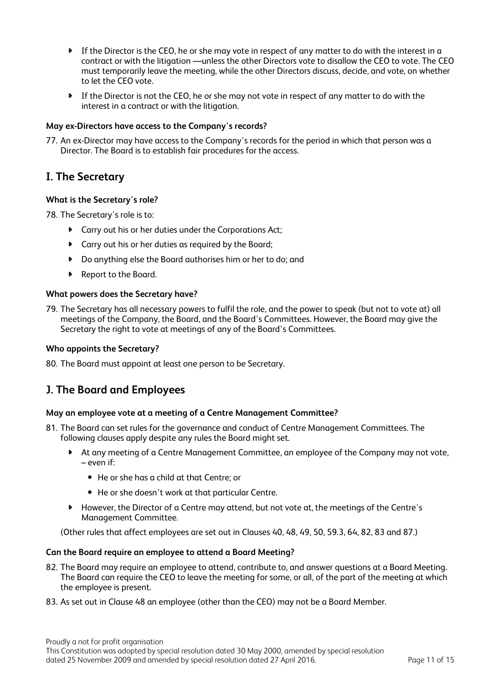- If the Director is the CEO, he or she may vote in respect of any matter to do with the interest in a contract or with the litigation —unless the other Directors vote to disallow the CEO to vote. The CEO must temporarily leave the meeting, while the other Directors discuss, decide, and vote, on whether to let the CEO vote.
- $\blacktriangleright$ If the Director is not the CEO, he or she may not vote in respect of any matter to do with the interest in a contract or with the litigation.

# **May ex-Directors have access to the Company's records?**

77. An ex-Director may have access to the Company's records for the period in which that person was a Director. The Board is to establish fair procedures for the access.

# **I. The Secretary**

# **What is the Secretary's role?**

78. The Secretary's role is to:

- **Carry out his or her duties under the Corporations Act;**
- **Carry out his or her duties as required by the Board;**
- $\begin{array}{ccc}\n\bullet & \bullet & \bullet & \bullet\n\end{array}$ Do anything else the Board authorises him or her to do; and
- ▶ Report to the Board.

# **What powers does the Secretary have?**

79. The Secretary has all necessary powers to fulfil the role, and the power to speak (but not to vote at) all meetings of the Company, the Board, and the Board's Committees. However, the Board may give the Secretary the right to vote at meetings of any of the Board's Committees.

# **Who appoints the Secretary?**

80. The Board must appoint at least one person to be Secretary.

# **J. The Board and Employees**

# **May an employee vote at a meeting of a Centre Management Committee?**

- 81. The Board can set rules for the governance and conduct of Centre Management Committees. The following clauses apply despite any rules the Board might set.
	- At any meeting of a Centre Management Committee, an employee of the Company may not vote, – even if:
		- He or she has a child at that Centre; or
		- He or she doesn't work at that particular Centre.
	- **However, the Director of a Centre may attend, but not vote at, the meetings of the Centre's** Management Committee.

(Other rules that affect employees are set out in Clauses 40, 48, 49, 50, 59.3, 64, 82, 83 and 87.)

# **Can the Board require an employee to attend a Board Meeting?**

- 82. The Board may require an employee to attend, contribute to, and answer questions at a Board Meeting. The Board can require the CEO to leave the meeting for some, or all, of the part of the meeting at which the employee is present.
- 83. As set out in Clause 48 an employee (other than the CEO) may not be a Board Member.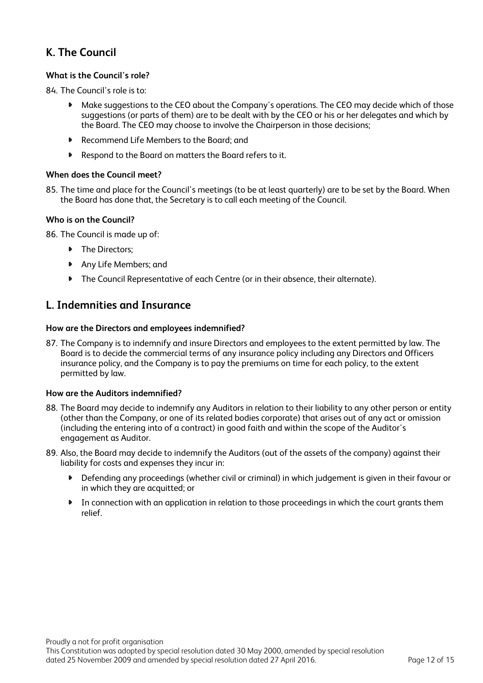# **K. The Council**

# **What is the Council's role?**

84. The Council's role is to:

- Make suggestions to the CEO about the Company's operations. The CEO may decide which of those suggestions (or parts of them) are to be dealt with by the CEO or his or her delegates and which by the Board. The CEO may choose to involve the Chairperson in those decisions;
- $\blacksquare$ Recommend Life Members to the Board; and
- Respond to the Board on matters the Board refers to it.  $\blacktriangleright$

# **When does the Council meet?**

85. The time and place for the Council's meetings (to be at least quarterly) are to be set by the Board. When the Board has done that, the Secretary is to call each meeting of the Council.

# **Who is on the Council?**

86. The Council is made up of:

- The Directors:
- Any Life Members; and
- The Council Representative of each Centre (or in their absence, their alternate).

# **L. Indemnities and Insurance**

# **How are the Directors and employees indemnified?**

87. The Company is to indemnify and insure Directors and employees to the extent permitted by law. The Board is to decide the commercial terms of any insurance policy including any Directors and Officers insurance policy, and the Company is to pay the premiums on time for each policy, to the extent permitted by law.

# **How are the Auditors indemnified?**

- 88. The Board may decide to indemnify any Auditors in relation to their liability to any other person or entity (other than the Company, or one of its related bodies corporate) that arises out of any act or omission (including the entering into of a contract) in good faith and within the scope of the Auditor's engagement as Auditor.
- 89. Also, the Board may decide to indemnify the Auditors (out of the assets of the company) against their liability for costs and expenses they incur in:
	- $\blacktriangleright$ Defending any proceedings (whether civil or criminal) in which judgement is given in their favour or in which they are acquitted; or
	- In connection with an application in relation to those proceedings in which the court grants them relief.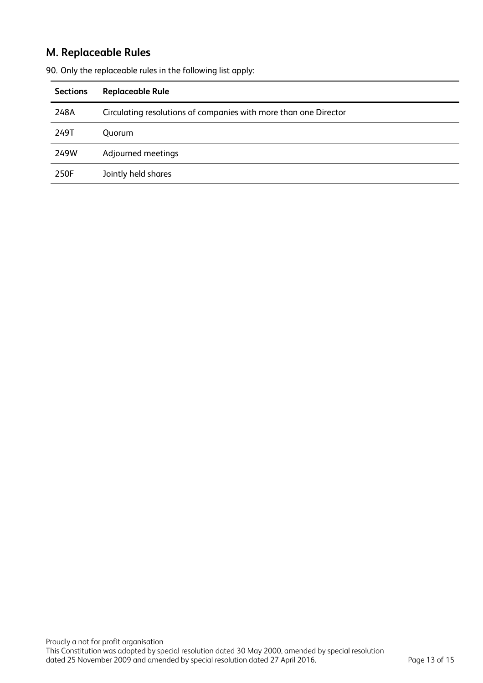# **M. Replaceable Rules**

| <b>Sections</b> | <b>Replaceable Rule</b>                                          |
|-----------------|------------------------------------------------------------------|
| 248A            | Circulating resolutions of companies with more than one Director |
| 249T            | <b>Ouorum</b>                                                    |
| 249W            | Adjourned meetings                                               |
| 250F            | Jointly held shares                                              |

90. Only the replaceable rules in the following list apply: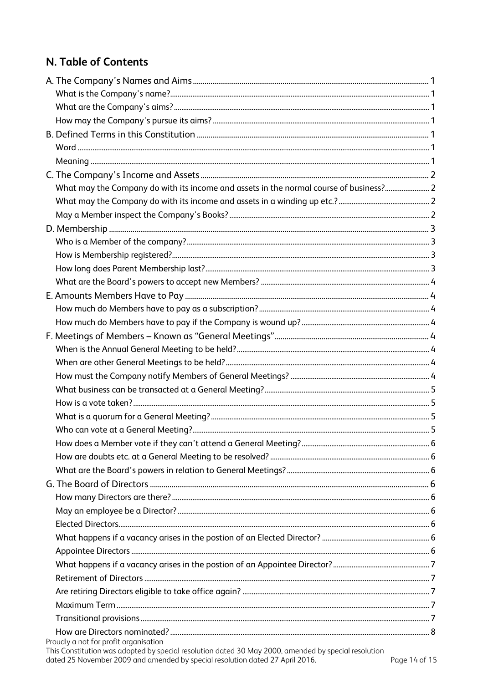# N. Table of Contents

| What may the Company do with its income and assets in the normal course of business? 2 |  |
|----------------------------------------------------------------------------------------|--|
|                                                                                        |  |
|                                                                                        |  |
|                                                                                        |  |
|                                                                                        |  |
|                                                                                        |  |
|                                                                                        |  |
|                                                                                        |  |
|                                                                                        |  |
|                                                                                        |  |
|                                                                                        |  |
|                                                                                        |  |
|                                                                                        |  |
|                                                                                        |  |
|                                                                                        |  |
|                                                                                        |  |
|                                                                                        |  |
|                                                                                        |  |
|                                                                                        |  |
|                                                                                        |  |
|                                                                                        |  |
|                                                                                        |  |
|                                                                                        |  |
|                                                                                        |  |
|                                                                                        |  |
|                                                                                        |  |
|                                                                                        |  |
|                                                                                        |  |
|                                                                                        |  |
|                                                                                        |  |
|                                                                                        |  |
|                                                                                        |  |
|                                                                                        |  |
|                                                                                        |  |

Proudly a not for profit organisation<br>This Constitution was adopted by special resolution dated 30 May 2000, amended by special resolution<br>dated 25 November 2009 and amended by special resolution dated 27 April 2016.